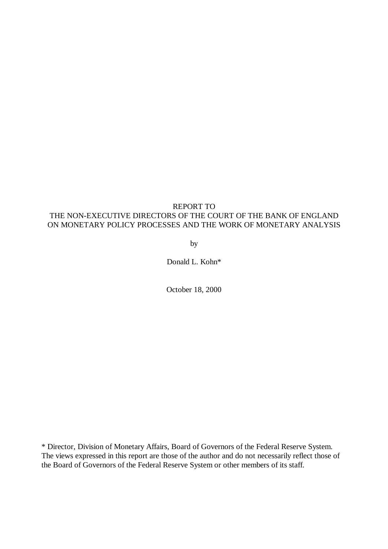# REPORT TO

# THE NON-EXECUTIVE DIRECTORS OF THE COURT OF THE BANK OF ENGLAND ON MONETARY POLICY PROCESSES AND THE WORK OF MONETARY ANALYSIS

by

Donald L. Kohn\*

October 18, 2000

\* Director, Division of Monetary Affairs, Board of Governors of the Federal Reserve System. The views expressed in this report are those of the author and do not necessarily reflect those of the Board of Governors of the Federal Reserve System or other members of its staff.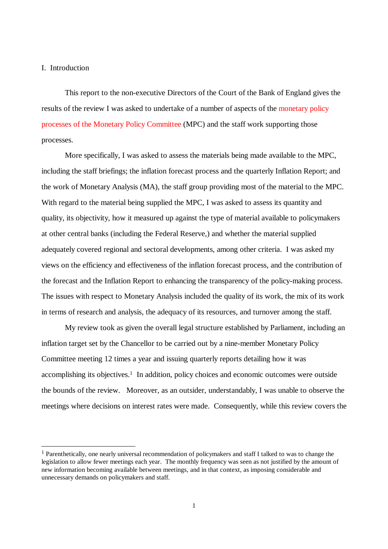# I. Introduction

l

This report to the non-executive Directors of the Court of the Bank of England gives the results of the review I was asked to undertake of a number of aspects of the [monetary policy](kohnresponse.pdf) [processes of the Monetary Policy Committee \(](kohnresponse.pdf)MPC) and the staff work supporting those processes.

More specifically, I was asked to assess the materials being made available to the MPC, including the staff briefings; the inflation forecast process and the quarterly Inflation Report; and the work of Monetary Analysis (MA), the staff group providing most of the material to the MPC. With regard to the material being supplied the MPC, I was asked to assess its quantity and quality, its objectivity, how it measured up against the type of material available to policymakers at other central banks (including the Federal Reserve,) and whether the material supplied adequately covered regional and sectoral developments, among other criteria. I was asked my views on the efficiency and effectiveness of the inflation forecast process, and the contribution of the forecast and the Inflation Report to enhancing the transparency of the policy-making process. The issues with respect to Monetary Analysis included the quality of its work, the mix of its work in terms of research and analysis, the adequacy of its resources, and turnover among the staff.

My review took as given the overall legal structure established by Parliament, including an inflation target set by the Chancellor to be carried out by a nine-member Monetary Policy Committee meeting 12 times a year and issuing quarterly reports detailing how it was accomplishing its objectives.<sup>1</sup> In addition, policy choices and economic outcomes were outside the bounds of the review. Moreover, as an outsider, understandably, I was unable to observe the meetings where decisions on interest rates were made. Consequently, while this review covers the

<sup>1</sup> Parenthetically, one nearly universal recommendation of policymakers and staff I talked to was to change the legislation to allow fewer meetings each year. The monthly frequency was seen as not justified by the amount of new information becoming available between meetings, and in that context, as imposing considerable and unnecessary demands on policymakers and staff.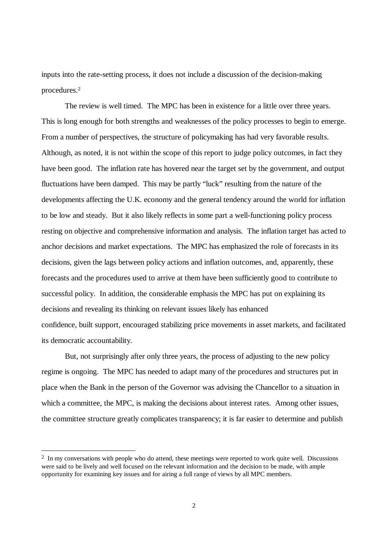inputs into the rate-setting process, it does not include a discussion of the decision-making procedures.<sup>2</sup>

The review is well timed. The MPC has been in existence for a little over three years. This is long enough for both strengths and weaknesses of the policy processes to begin to emerge. From a number of perspectives, the structure of policymaking has had very favorable results. Although, as noted, it is not within the scope of this report to judge policy outcomes, in fact they have been good. The inflation rate has hovered near the target set by the government, and output fluctuations have been damped. This may be partly "luck" resulting from the nature of the developments affecting the U.K. economy and the general tendency around the world for inflation to be low and steady. But it also likely reflects in some part a well-functioning policy process resting on objective and comprehensive information and analysis. The inflation target has acted to anchor decisions and market expectations. The MPC has emphasized the role of forecasts in its decisions, given the lags between policy actions and inflation outcomes, and, apparently, these forecasts and the procedures used to arrive at them have been sufficiently good to contribute to successful policy. In addition, the considerable emphasis the MPC has put on explaining its decisions and revealing its thinking on relevant issues likely has enhanced confidence, built support, encouraged stabilizing price movements in asset markets, and facilitated its democratic accountability.

But, not surprisingly after only three years, the process of adjusting to the new policy regime is ongoing. The MPC has needed to adapt many of the procedures and structures put in place when the Bank in the person of the Governor was advising the Chancellor to a situation in which a committee, the MPC, is making the decisions about interest rates. Among other issues, the committee structure greatly complicates transparency; it is far easier to determine and publish

<sup>&</sup>lt;sup>2</sup> In my conversations with people who do attend, these meetings were reported to work quite well. Discussions were said to be lively and well focused on the relevant information and the decision to be made, with ample opportunity for examining key issues and for airing a full range of views by all MPC members.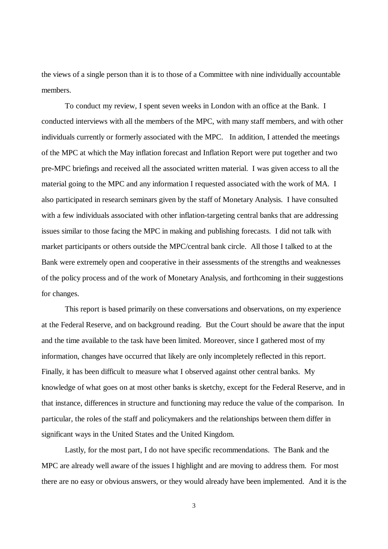the views of a single person than it is to those of a Committee with nine individually accountable members.

To conduct my review, I spent seven weeks in London with an office at the Bank. I conducted interviews with all the members of the MPC, with many staff members, and with other individuals currently or formerly associated with the MPC. In addition, I attended the meetings of the MPC at which the May inflation forecast and Inflation Report were put together and two pre-MPC briefings and received all the associated written material. I was given access to all the material going to the MPC and any information I requested associated with the work of MA. I also participated in research seminars given by the staff of Monetary Analysis. I have consulted with a few individuals associated with other inflation-targeting central banks that are addressing issues similar to those facing the MPC in making and publishing forecasts. I did not talk with market participants or others outside the MPC/central bank circle. All those I talked to at the Bank were extremely open and cooperative in their assessments of the strengths and weaknesses of the policy process and of the work of Monetary Analysis, and forthcoming in their suggestions for changes.

This report is based primarily on these conversations and observations, on my experience at the Federal Reserve, and on background reading. But the Court should be aware that the input and the time available to the task have been limited. Moreover, since I gathered most of my information, changes have occurred that likely are only incompletely reflected in this report. Finally, it has been difficult to measure what I observed against other central banks. My knowledge of what goes on at most other banks is sketchy, except for the Federal Reserve, and in that instance, differences in structure and functioning may reduce the value of the comparison. In particular, the roles of the staff and policymakers and the relationships between them differ in significant ways in the United States and the United Kingdom.

Lastly, for the most part, I do not have specific recommendations. The Bank and the MPC are already well aware of the issues I highlight and are moving to address them. For most there are no easy or obvious answers, or they would already have been implemented. And it is the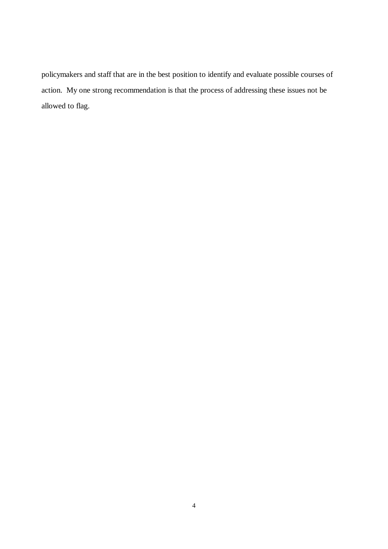policymakers and staff that are in the best position to identify and evaluate possible courses of action. My one strong recommendation is that the process of addressing these issues not be allowed to flag.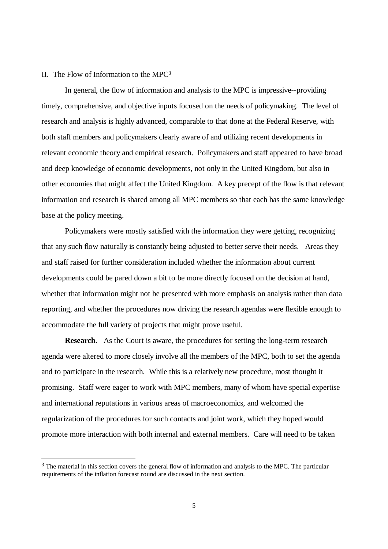# II. The Flow of Information to the MPC<sup>3</sup>

l

In general, the flow of information and analysis to the MPC is impressive--providing timely, comprehensive, and objective inputs focused on the needs of policymaking. The level of research and analysis is highly advanced, comparable to that done at the Federal Reserve, with both staff members and policymakers clearly aware of and utilizing recent developments in relevant economic theory and empirical research. Policymakers and staff appeared to have broad and deep knowledge of economic developments, not only in the United Kingdom, but also in other economies that might affect the United Kingdom. A key precept of the flow is that relevant information and research is shared among all MPC members so that each has the same knowledge base at the policy meeting.

Policymakers were mostly satisfied with the information they were getting, recognizing that any such flow naturally is constantly being adjusted to better serve their needs. Areas they and staff raised for further consideration included whether the information about current developments could be pared down a bit to be more directly focused on the decision at hand, whether that information might not be presented with more emphasis on analysis rather than data reporting, and whether the procedures now driving the research agendas were flexible enough to accommodate the full variety of projects that might prove useful.

**Research.** As the Court is aware, the procedures for setting the <u>long-term research</u> agenda were altered to more closely involve all the members of the MPC, both to set the agenda and to participate in the research. While this is a relatively new procedure, most thought it promising. Staff were eager to work with MPC members, many of whom have special expertise and international reputations in various areas of macroeconomics, and welcomed the regularization of the procedures for such contacts and joint work, which they hoped would promote more interaction with both internal and external members. Care will need to be taken

<sup>&</sup>lt;sup>3</sup> The material in this section covers the general flow of information and analysis to the MPC. The particular requirements of the inflation forecast round are discussed in the next section.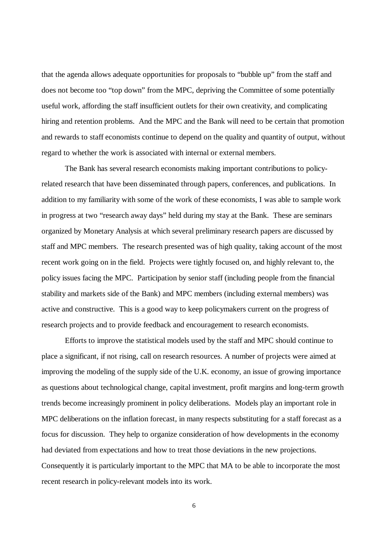that the agenda allows adequate opportunities for proposals to "bubble up" from the staff and does not become too "top down" from the MPC, depriving the Committee of some potentially useful work, affording the staff insufficient outlets for their own creativity, and complicating hiring and retention problems. And the MPC and the Bank will need to be certain that promotion and rewards to staff economists continue to depend on the quality and quantity of output, without regard to whether the work is associated with internal or external members.

The Bank has several research economists making important contributions to policyrelated research that have been disseminated through papers, conferences, and publications. In addition to my familiarity with some of the work of these economists, I was able to sample work in progress at two "research away days" held during my stay at the Bank. These are seminars organized by Monetary Analysis at which several preliminary research papers are discussed by staff and MPC members. The research presented was of high quality, taking account of the most recent work going on in the field. Projects were tightly focused on, and highly relevant to, the policy issues facing the MPC. Participation by senior staff (including people from the financial stability and markets side of the Bank) and MPC members (including external members) was active and constructive. This is a good way to keep policymakers current on the progress of research projects and to provide feedback and encouragement to research economists.

Efforts to improve the statistical models used by the staff and MPC should continue to place a significant, if not rising, call on research resources. A number of projects were aimed at improving the modeling of the supply side of the U.K. economy, an issue of growing importance as questions about technological change, capital investment, profit margins and long-term growth trends become increasingly prominent in policy deliberations. Models play an important role in MPC deliberations on the inflation forecast, in many respects substituting for a staff forecast as a focus for discussion. They help to organize consideration of how developments in the economy had deviated from expectations and how to treat those deviations in the new projections. Consequently it is particularly important to the MPC that MA to be able to incorporate the most recent research in policy-relevant models into its work.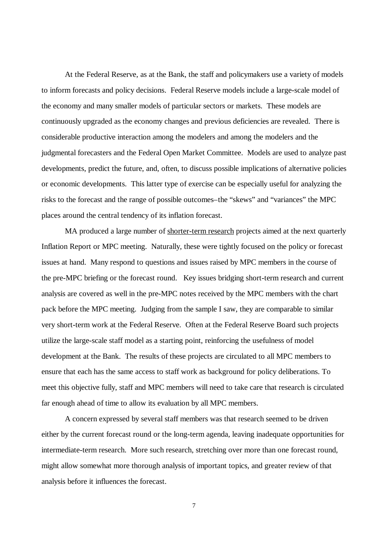At the Federal Reserve, as at the Bank, the staff and policymakers use a variety of models to inform forecasts and policy decisions. Federal Reserve models include a large-scale model of the economy and many smaller models of particular sectors or markets. These models are continuously upgraded as the economy changes and previous deficiencies are revealed. There is considerable productive interaction among the modelers and among the modelers and the judgmental forecasters and the Federal Open Market Committee. Models are used to analyze past developments, predict the future, and, often, to discuss possible implications of alternative policies or economic developments. This latter type of exercise can be especially useful for analyzing the risks to the forecast and the range of possible outcomes–the "skews" and "variances" the MPC places around the central tendency of its inflation forecast.

MA produced a large number of shorter-term research projects aimed at the next quarterly Inflation Report or MPC meeting. Naturally, these were tightly focused on the policy or forecast issues at hand. Many respond to questions and issues raised by MPC members in the course of the pre-MPC briefing or the forecast round. Key issues bridging short-term research and current analysis are covered as well in the pre-MPC notes received by the MPC members with the chart pack before the MPC meeting. Judging from the sample I saw, they are comparable to similar very short-term work at the Federal Reserve. Often at the Federal Reserve Board such projects utilize the large-scale staff model as a starting point, reinforcing the usefulness of model development at the Bank. The results of these projects are circulated to all MPC members to ensure that each has the same access to staff work as background for policy deliberations. To meet this objective fully, staff and MPC members will need to take care that research is circulated far enough ahead of time to allow its evaluation by all MPC members.

A concern expressed by several staff members was that research seemed to be driven either by the current forecast round or the long-term agenda, leaving inadequate opportunities for intermediate-term research. More such research, stretching over more than one forecast round, might allow somewhat more thorough analysis of important topics, and greater review of that analysis before it influences the forecast.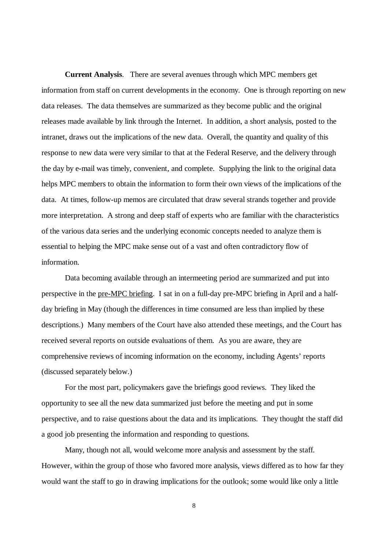**Current Analysis**. There are several avenues through which MPC members get information from staff on current developments in the economy. One is through reporting on new data releases. The data themselves are summarized as they become public and the original releases made available by link through the Internet. In addition, a short analysis, posted to the intranet, draws out the implications of the new data. Overall, the quantity and quality of this response to new data were very similar to that at the Federal Reserve, and the delivery through the day by e-mail was timely, convenient, and complete. Supplying the link to the original data helps MPC members to obtain the information to form their own views of the implications of the data. At times, follow-up memos are circulated that draw several strands together and provide more interpretation. A strong and deep staff of experts who are familiar with the characteristics of the various data series and the underlying economic concepts needed to analyze them is essential to helping the MPC make sense out of a vast and often contradictory flow of information.

Data becoming available through an intermeeting period are summarized and put into perspective in the pre-MPC briefing. I sat in on a full-day pre-MPC briefing in April and a halfday briefing in May (though the differences in time consumed are less than implied by these descriptions.) Many members of the Court have also attended these meetings, and the Court has received several reports on outside evaluations of them. As you are aware, they are comprehensive reviews of incoming information on the economy, including Agents' reports (discussed separately below.)

For the most part, policymakers gave the briefings good reviews. They liked the opportunity to see all the new data summarized just before the meeting and put in some perspective, and to raise questions about the data and its implications. They thought the staff did a good job presenting the information and responding to questions.

Many, though not all, would welcome more analysis and assessment by the staff. However, within the group of those who favored more analysis, views differed as to how far they would want the staff to go in drawing implications for the outlook; some would like only a little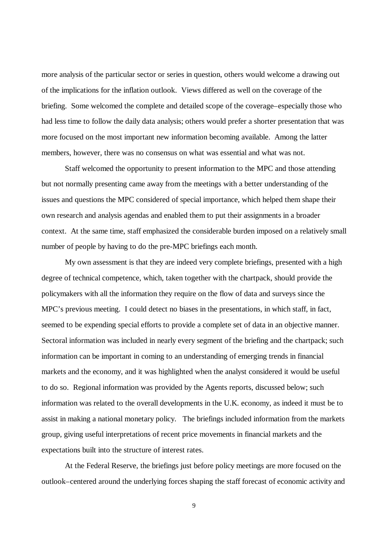more analysis of the particular sector or series in question, others would welcome a drawing out of the implications for the inflation outlook. Views differed as well on the coverage of the briefing. Some welcomed the complete and detailed scope of the coverage–especially those who had less time to follow the daily data analysis; others would prefer a shorter presentation that was more focused on the most important new information becoming available. Among the latter members, however, there was no consensus on what was essential and what was not.

Staff welcomed the opportunity to present information to the MPC and those attending but not normally presenting came away from the meetings with a better understanding of the issues and questions the MPC considered of special importance, which helped them shape their own research and analysis agendas and enabled them to put their assignments in a broader context. At the same time, staff emphasized the considerable burden imposed on a relatively small number of people by having to do the pre-MPC briefings each month.

My own assessment is that they are indeed very complete briefings, presented with a high degree of technical competence, which, taken together with the chartpack, should provide the policymakers with all the information they require on the flow of data and surveys since the MPC's previous meeting. I could detect no biases in the presentations, in which staff, in fact, seemed to be expending special efforts to provide a complete set of data in an objective manner. Sectoral information was included in nearly every segment of the briefing and the chartpack; such information can be important in coming to an understanding of emerging trends in financial markets and the economy, and it was highlighted when the analyst considered it would be useful to do so. Regional information was provided by the Agents reports, discussed below; such information was related to the overall developments in the U.K. economy, as indeed it must be to assist in making a national monetary policy. The briefings included information from the markets group, giving useful interpretations of recent price movements in financial markets and the expectations built into the structure of interest rates.

At the Federal Reserve, the briefings just before policy meetings are more focused on the outlook–centered around the underlying forces shaping the staff forecast of economic activity and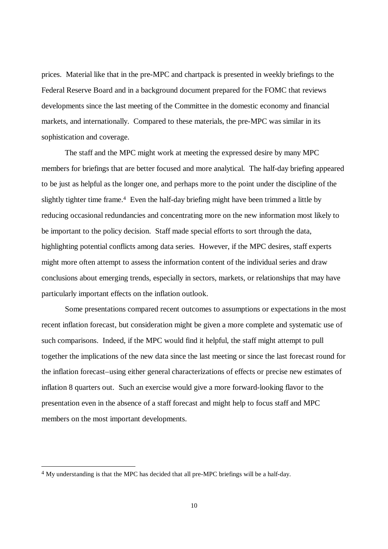prices. Material like that in the pre-MPC and chartpack is presented in weekly briefings to the Federal Reserve Board and in a background document prepared for the FOMC that reviews developments since the last meeting of the Committee in the domestic economy and financial markets, and internationally. Compared to these materials, the pre-MPC was similar in its sophistication and coverage.

The staff and the MPC might work at meeting the expressed desire by many MPC members for briefings that are better focused and more analytical. The half-day briefing appeared to be just as helpful as the longer one, and perhaps more to the point under the discipline of the slightly tighter time frame.<sup>4</sup> Even the half-day briefing might have been trimmed a little by reducing occasional redundancies and concentrating more on the new information most likely to be important to the policy decision. Staff made special efforts to sort through the data, highlighting potential conflicts among data series. However, if the MPC desires, staff experts might more often attempt to assess the information content of the individual series and draw conclusions about emerging trends, especially in sectors, markets, or relationships that may have particularly important effects on the inflation outlook.

Some presentations compared recent outcomes to assumptions or expectations in the most recent inflation forecast, but consideration might be given a more complete and systematic use of such comparisons. Indeed, if the MPC would find it helpful, the staff might attempt to pull together the implications of the new data since the last meeting or since the last forecast round for the inflation forecast–using either general characterizations of effects or precise new estimates of inflation 8 quarters out. Such an exercise would give a more forward-looking flavor to the presentation even in the absence of a staff forecast and might help to focus staff and MPC members on the most important developments.

<sup>&</sup>lt;sup>4</sup> My understanding is that the MPC has decided that all pre-MPC briefings will be a half-day.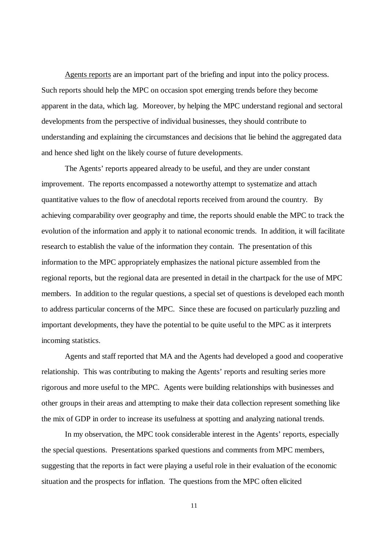Agents reports are an important part of the briefing and input into the policy process. Such reports should help the MPC on occasion spot emerging trends before they become apparent in the data, which lag. Moreover, by helping the MPC understand regional and sectoral developments from the perspective of individual businesses, they should contribute to understanding and explaining the circumstances and decisions that lie behind the aggregated data and hence shed light on the likely course of future developments.

The Agents' reports appeared already to be useful, and they are under constant improvement. The reports encompassed a noteworthy attempt to systematize and attach quantitative values to the flow of anecdotal reports received from around the country. By achieving comparability over geography and time, the reports should enable the MPC to track the evolution of the information and apply it to national economic trends. In addition, it will facilitate research to establish the value of the information they contain. The presentation of this information to the MPC appropriately emphasizes the national picture assembled from the regional reports, but the regional data are presented in detail in the chartpack for the use of MPC members. In addition to the regular questions, a special set of questions is developed each month to address particular concerns of the MPC. Since these are focused on particularly puzzling and important developments, they have the potential to be quite useful to the MPC as it interprets incoming statistics.

Agents and staff reported that MA and the Agents had developed a good and cooperative relationship. This was contributing to making the Agents' reports and resulting series more rigorous and more useful to the MPC. Agents were building relationships with businesses and other groups in their areas and attempting to make their data collection represent something like the mix of GDP in order to increase its usefulness at spotting and analyzing national trends.

In my observation, the MPC took considerable interest in the Agents' reports, especially the special questions. Presentations sparked questions and comments from MPC members, suggesting that the reports in fact were playing a useful role in their evaluation of the economic situation and the prospects for inflation. The questions from the MPC often elicited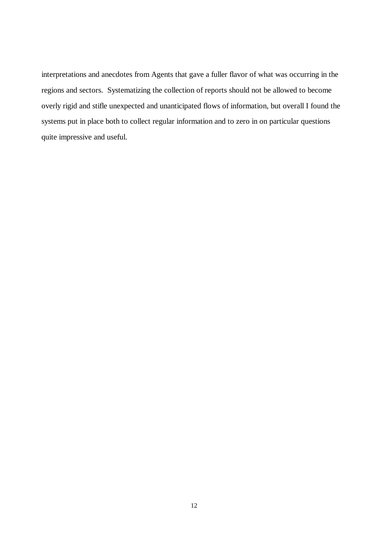interpretations and anecdotes from Agents that gave a fuller flavor of what was occurring in the regions and sectors. Systematizing the collection of reports should not be allowed to become overly rigid and stifle unexpected and unanticipated flows of information, but overall I found the systems put in place both to collect regular information and to zero in on particular questions quite impressive and useful.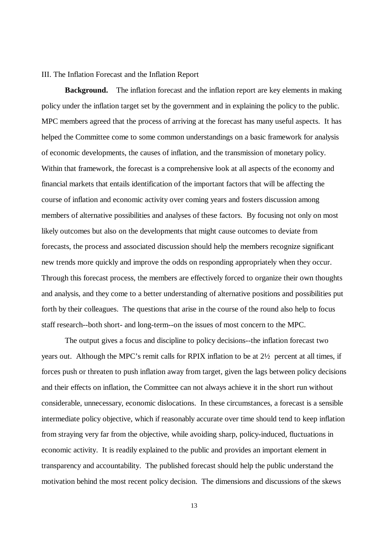### III. The Inflation Forecast and the Inflation Report

**Background.** The inflation forecast and the inflation report are key elements in making policy under the inflation target set by the government and in explaining the policy to the public. MPC members agreed that the process of arriving at the forecast has many useful aspects. It has helped the Committee come to some common understandings on a basic framework for analysis of economic developments, the causes of inflation, and the transmission of monetary policy. Within that framework, the forecast is a comprehensive look at all aspects of the economy and financial markets that entails identification of the important factors that will be affecting the course of inflation and economic activity over coming years and fosters discussion among members of alternative possibilities and analyses of these factors. By focusing not only on most likely outcomes but also on the developments that might cause outcomes to deviate from forecasts, the process and associated discussion should help the members recognize significant new trends more quickly and improve the odds on responding appropriately when they occur. Through this forecast process, the members are effectively forced to organize their own thoughts and analysis, and they come to a better understanding of alternative positions and possibilities put forth by their colleagues. The questions that arise in the course of the round also help to focus staff research--both short- and long-term--on the issues of most concern to the MPC.

The output gives a focus and discipline to policy decisions--the inflation forecast two years out. Although the MPC's remit calls for RPIX inflation to be at 2½ percent at all times, if forces push or threaten to push inflation away from target, given the lags between policy decisions and their effects on inflation, the Committee can not always achieve it in the short run without considerable, unnecessary, economic dislocations. In these circumstances, a forecast is a sensible intermediate policy objective, which if reasonably accurate over time should tend to keep inflation from straying very far from the objective, while avoiding sharp, policy-induced, fluctuations in economic activity. It is readily explained to the public and provides an important element in transparency and accountability. The published forecast should help the public understand the motivation behind the most recent policy decision. The dimensions and discussions of the skews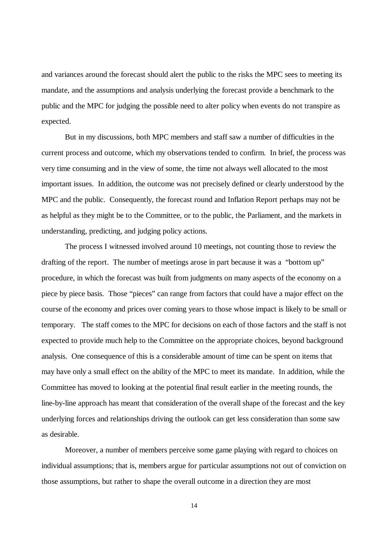and variances around the forecast should alert the public to the risks the MPC sees to meeting its mandate, and the assumptions and analysis underlying the forecast provide a benchmark to the public and the MPC for judging the possible need to alter policy when events do not transpire as expected.

But in my discussions, both MPC members and staff saw a number of difficulties in the current process and outcome, which my observations tended to confirm. In brief, the process was very time consuming and in the view of some, the time not always well allocated to the most important issues. In addition, the outcome was not precisely defined or clearly understood by the MPC and the public. Consequently, the forecast round and Inflation Report perhaps may not be as helpful as they might be to the Committee, or to the public, the Parliament, and the markets in understanding, predicting, and judging policy actions.

The process I witnessed involved around 10 meetings, not counting those to review the drafting of the report. The number of meetings arose in part because it was a "bottom up" procedure, in which the forecast was built from judgments on many aspects of the economy on a piece by piece basis. Those "pieces" can range from factors that could have a major effect on the course of the economy and prices over coming years to those whose impact is likely to be small or temporary. The staff comes to the MPC for decisions on each of those factors and the staff is not expected to provide much help to the Committee on the appropriate choices, beyond background analysis. One consequence of this is a considerable amount of time can be spent on items that may have only a small effect on the ability of the MPC to meet its mandate. In addition, while the Committee has moved to looking at the potential final result earlier in the meeting rounds, the line-by-line approach has meant that consideration of the overall shape of the forecast and the key underlying forces and relationships driving the outlook can get less consideration than some saw as desirable.

Moreover, a number of members perceive some game playing with regard to choices on individual assumptions; that is, members argue for particular assumptions not out of conviction on those assumptions, but rather to shape the overall outcome in a direction they are most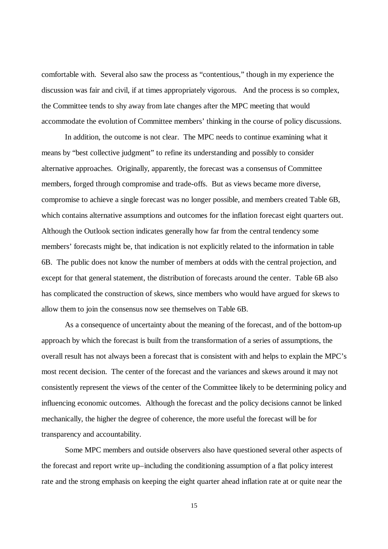comfortable with. Several also saw the process as "contentious," though in my experience the discussion was fair and civil, if at times appropriately vigorous. And the process is so complex, the Committee tends to shy away from late changes after the MPC meeting that would accommodate the evolution of Committee members' thinking in the course of policy discussions.

In addition, the outcome is not clear. The MPC needs to continue examining what it means by "best collective judgment" to refine its understanding and possibly to consider alternative approaches. Originally, apparently, the forecast was a consensus of Committee members, forged through compromise and trade-offs. But as views became more diverse, compromise to achieve a single forecast was no longer possible, and members created Table 6B, which contains alternative assumptions and outcomes for the inflation forecast eight quarters out. Although the Outlook section indicates generally how far from the central tendency some members' forecasts might be, that indication is not explicitly related to the information in table 6B. The public does not know the number of members at odds with the central projection, and except for that general statement, the distribution of forecasts around the center. Table 6B also has complicated the construction of skews, since members who would have argued for skews to allow them to join the consensus now see themselves on Table 6B.

As a consequence of uncertainty about the meaning of the forecast, and of the bottom-up approach by which the forecast is built from the transformation of a series of assumptions, the overall result has not always been a forecast that is consistent with and helps to explain the MPC's most recent decision. The center of the forecast and the variances and skews around it may not consistently represent the views of the center of the Committee likely to be determining policy and influencing economic outcomes. Although the forecast and the policy decisions cannot be linked mechanically, the higher the degree of coherence, the more useful the forecast will be for transparency and accountability.

Some MPC members and outside observers also have questioned several other aspects of the forecast and report write up–including the conditioning assumption of a flat policy interest rate and the strong emphasis on keeping the eight quarter ahead inflation rate at or quite near the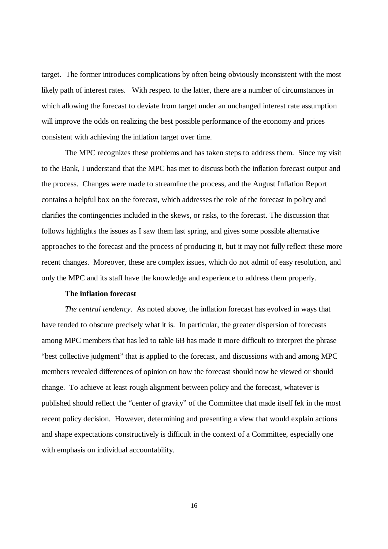target. The former introduces complications by often being obviously inconsistent with the most likely path of interest rates. With respect to the latter, there are a number of circumstances in which allowing the forecast to deviate from target under an unchanged interest rate assumption will improve the odds on realizing the best possible performance of the economy and prices consistent with achieving the inflation target over time.

The MPC recognizes these problems and has taken steps to address them. Since my visit to the Bank, I understand that the MPC has met to discuss both the inflation forecast output and the process. Changes were made to streamline the process, and the August Inflation Report contains a helpful box on the forecast, which addresses the role of the forecast in policy and clarifies the contingencies included in the skews, or risks, to the forecast. The discussion that follows highlights the issues as I saw them last spring, and gives some possible alternative approaches to the forecast and the process of producing it, but it may not fully reflect these more recent changes. Moreover, these are complex issues, which do not admit of easy resolution, and only the MPC and its staff have the knowledge and experience to address them properly.

### **The inflation forecast**

*The central tendency*. As noted above, the inflation forecast has evolved in ways that have tended to obscure precisely what it is. In particular, the greater dispersion of forecasts among MPC members that has led to table 6B has made it more difficult to interpret the phrase "best collective judgment" that is applied to the forecast, and discussions with and among MPC members revealed differences of opinion on how the forecast should now be viewed or should change. To achieve at least rough alignment between policy and the forecast, whatever is published should reflect the "center of gravity" of the Committee that made itself felt in the most recent policy decision. However, determining and presenting a view that would explain actions and shape expectations constructively is difficult in the context of a Committee, especially one with emphasis on individual accountability.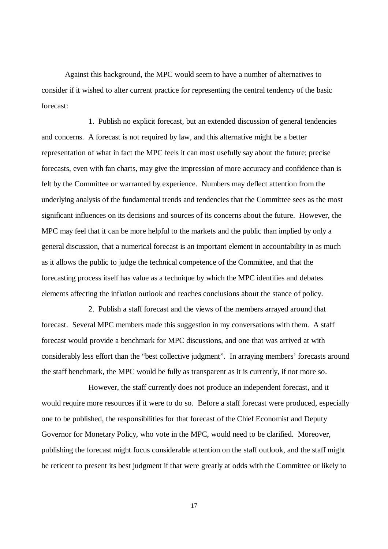Against this background, the MPC would seem to have a number of alternatives to consider if it wished to alter current practice for representing the central tendency of the basic forecast:

1. Publish no explicit forecast, but an extended discussion of general tendencies and concerns. A forecast is not required by law, and this alternative might be a better representation of what in fact the MPC feels it can most usefully say about the future; precise forecasts, even with fan charts, may give the impression of more accuracy and confidence than is felt by the Committee or warranted by experience. Numbers may deflect attention from the underlying analysis of the fundamental trends and tendencies that the Committee sees as the most significant influences on its decisions and sources of its concerns about the future. However, the MPC may feel that it can be more helpful to the markets and the public than implied by only a general discussion, that a numerical forecast is an important element in accountability in as much as it allows the public to judge the technical competence of the Committee, and that the forecasting process itself has value as a technique by which the MPC identifies and debates elements affecting the inflation outlook and reaches conclusions about the stance of policy.

2. Publish a staff forecast and the views of the members arrayed around that forecast. Several MPC members made this suggestion in my conversations with them. A staff forecast would provide a benchmark for MPC discussions, and one that was arrived at with considerably less effort than the "best collective judgment". In arraying members' forecasts around the staff benchmark, the MPC would be fully as transparent as it is currently, if not more so.

However, the staff currently does not produce an independent forecast, and it would require more resources if it were to do so. Before a staff forecast were produced, especially one to be published, the responsibilities for that forecast of the Chief Economist and Deputy Governor for Monetary Policy, who vote in the MPC, would need to be clarified. Moreover, publishing the forecast might focus considerable attention on the staff outlook, and the staff might be reticent to present its best judgment if that were greatly at odds with the Committee or likely to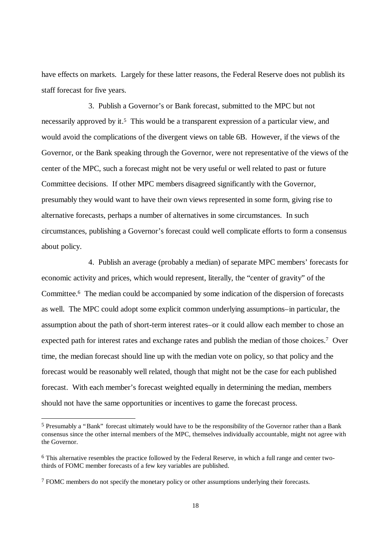have effects on markets. Largely for these latter reasons, the Federal Reserve does not publish its staff forecast for five years.

3. Publish a Governor's or Bank forecast, submitted to the MPC but not necessarily approved by it.<sup>5</sup> This would be a transparent expression of a particular view, and would avoid the complications of the divergent views on table 6B. However, if the views of the Governor, or the Bank speaking through the Governor, were not representative of the views of the center of the MPC, such a forecast might not be very useful or well related to past or future Committee decisions. If other MPC members disagreed significantly with the Governor, presumably they would want to have their own views represented in some form, giving rise to alternative forecasts, perhaps a number of alternatives in some circumstances. In such circumstances, publishing a Governor's forecast could well complicate efforts to form a consensus about policy.

4. Publish an average (probably a median) of separate MPC members' forecasts for economic activity and prices, which would represent, literally, the "center of gravity" of the Committee.<sup>6</sup> The median could be accompanied by some indication of the dispersion of forecasts as well. The MPC could adopt some explicit common underlying assumptions–in particular, the assumption about the path of short-term interest rates–or it could allow each member to chose an expected path for interest rates and exchange rates and publish the median of those choices.<sup>7</sup> Over time, the median forecast should line up with the median vote on policy, so that policy and the forecast would be reasonably well related, though that might not be the case for each published forecast. With each member's forecast weighted equally in determining the median, members should not have the same opportunities or incentives to game the forecast process.

<sup>&</sup>lt;sup>5</sup> Presumably a "Bank" forecast ultimately would have to be the responsibility of the Governor rather than a Bank consensus since the other internal members of the MPC, themselves individually accountable, might not agree with the Governor.

<sup>&</sup>lt;sup>6</sup> This alternative resembles the practice followed by the Federal Reserve, in which a full range and center twothirds of FOMC member forecasts of a few key variables are published.

<sup>&</sup>lt;sup>7</sup> FOMC members do not specify the monetary policy or other assumptions underlying their forecasts.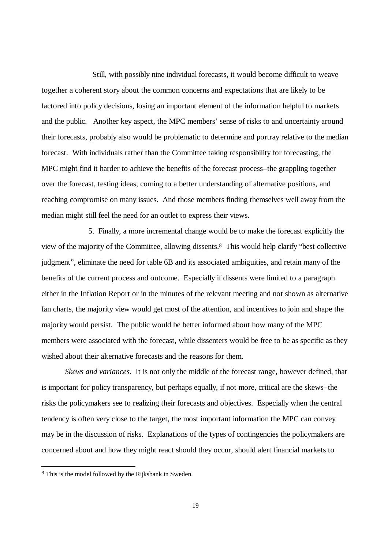Still, with possibly nine individual forecasts, it would become difficult to weave together a coherent story about the common concerns and expectations that are likely to be factored into policy decisions, losing an important element of the information helpful to markets and the public. Another key aspect, the MPC members' sense of risks to and uncertainty around their forecasts, probably also would be problematic to determine and portray relative to the median forecast. With individuals rather than the Committee taking responsibility for forecasting, the MPC might find it harder to achieve the benefits of the forecast process–the grappling together over the forecast, testing ideas, coming to a better understanding of alternative positions, and reaching compromise on many issues. And those members finding themselves well away from the median might still feel the need for an outlet to express their views.

5. Finally, a more incremental change would be to make the forecast explicitly the view of the majority of the Committee, allowing dissents.<sup>8</sup> This would help clarify "best collective judgment", eliminate the need for table 6B and its associated ambiguities, and retain many of the benefits of the current process and outcome. Especially if dissents were limited to a paragraph either in the Inflation Report or in the minutes of the relevant meeting and not shown as alternative fan charts, the majority view would get most of the attention, and incentives to join and shape the majority would persist. The public would be better informed about how many of the MPC members were associated with the forecast, while dissenters would be free to be as specific as they wished about their alternative forecasts and the reasons for them.

*Skews and variances*. It is not only the middle of the forecast range, however defined, that is important for policy transparency, but perhaps equally, if not more, critical are the skews–the risks the policymakers see to realizing their forecasts and objectives. Especially when the central tendency is often very close to the target, the most important information the MPC can convey may be in the discussion of risks. Explanations of the types of contingencies the policymakers are concerned about and how they might react should they occur, should alert financial markets to

<sup>&</sup>lt;sup>8</sup> This is the model followed by the Rijksbank in Sweden.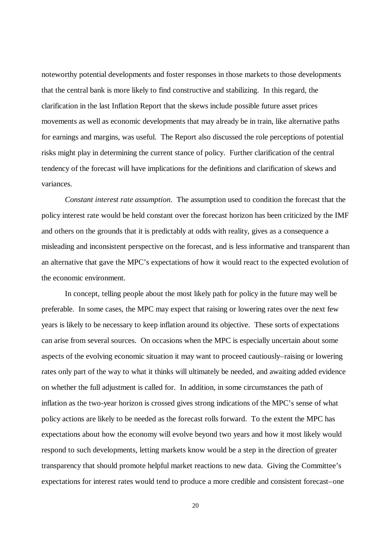noteworthy potential developments and foster responses in those markets to those developments that the central bank is more likely to find constructive and stabilizing. In this regard, the clarification in the last Inflation Report that the skews include possible future asset prices movements as well as economic developments that may already be in train, like alternative paths for earnings and margins, was useful. The Report also discussed the role perceptions of potential risks might play in determining the current stance of policy. Further clarification of the central tendency of the forecast will have implications for the definitions and clarification of skews and variances.

*Constant interest rate assumption*. The assumption used to condition the forecast that the policy interest rate would be held constant over the forecast horizon has been criticized by the IMF and others on the grounds that it is predictably at odds with reality, gives as a consequence a misleading and inconsistent perspective on the forecast, and is less informative and transparent than an alternative that gave the MPC's expectations of how it would react to the expected evolution of the economic environment.

In concept, telling people about the most likely path for policy in the future may well be preferable. In some cases, the MPC may expect that raising or lowering rates over the next few years is likely to be necessary to keep inflation around its objective. These sorts of expectations can arise from several sources. On occasions when the MPC is especially uncertain about some aspects of the evolving economic situation it may want to proceed cautiously–raising or lowering rates only part of the way to what it thinks will ultimately be needed, and awaiting added evidence on whether the full adjustment is called for. In addition, in some circumstances the path of inflation as the two-year horizon is crossed gives strong indications of the MPC's sense of what policy actions are likely to be needed as the forecast rolls forward. To the extent the MPC has expectations about how the economy will evolve beyond two years and how it most likely would respond to such developments, letting markets know would be a step in the direction of greater transparency that should promote helpful market reactions to new data. Giving the Committee's expectations for interest rates would tend to produce a more credible and consistent forecast–one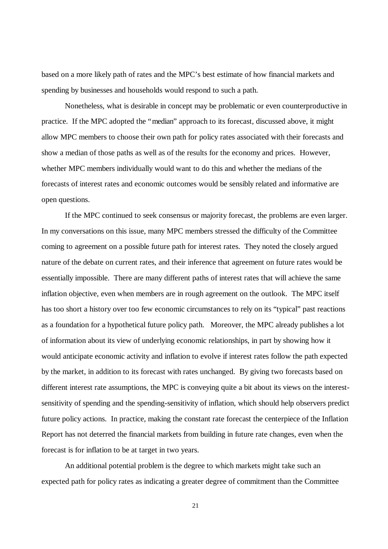based on a more likely path of rates and the MPC's best estimate of how financial markets and spending by businesses and households would respond to such a path.

Nonetheless, what is desirable in concept may be problematic or even counterproductive in practice. If the MPC adopted the "median" approach to its forecast, discussed above, it might allow MPC members to choose their own path for policy rates associated with their forecasts and show a median of those paths as well as of the results for the economy and prices. However, whether MPC members individually would want to do this and whether the medians of the forecasts of interest rates and economic outcomes would be sensibly related and informative are open questions.

If the MPC continued to seek consensus or majority forecast, the problems are even larger. In my conversations on this issue, many MPC members stressed the difficulty of the Committee coming to agreement on a possible future path for interest rates. They noted the closely argued nature of the debate on current rates, and their inference that agreement on future rates would be essentially impossible. There are many different paths of interest rates that will achieve the same inflation objective, even when members are in rough agreement on the outlook. The MPC itself has too short a history over too few economic circumstances to rely on its "typical" past reactions as a foundation for a hypothetical future policy path. Moreover, the MPC already publishes a lot of information about its view of underlying economic relationships, in part by showing how it would anticipate economic activity and inflation to evolve if interest rates follow the path expected by the market, in addition to its forecast with rates unchanged. By giving two forecasts based on different interest rate assumptions, the MPC is conveying quite a bit about its views on the interestsensitivity of spending and the spending-sensitivity of inflation, which should help observers predict future policy actions. In practice, making the constant rate forecast the centerpiece of the Inflation Report has not deterred the financial markets from building in future rate changes, even when the forecast is for inflation to be at target in two years.

An additional potential problem is the degree to which markets might take such an expected path for policy rates as indicating a greater degree of commitment than the Committee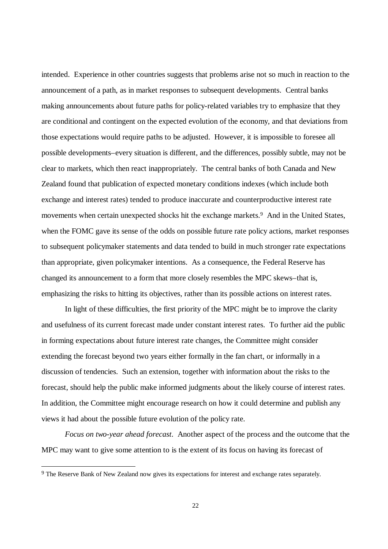intended. Experience in other countries suggests that problems arise not so much in reaction to the announcement of a path, as in market responses to subsequent developments. Central banks making announcements about future paths for policy-related variables try to emphasize that they are conditional and contingent on the expected evolution of the economy, and that deviations from those expectations would require paths to be adjusted. However, it is impossible to foresee all possible developments–every situation is different, and the differences, possibly subtle, may not be clear to markets, which then react inappropriately. The central banks of both Canada and New Zealand found that publication of expected monetary conditions indexes (which include both exchange and interest rates) tended to produce inaccurate and counterproductive interest rate movements when certain unexpected shocks hit the exchange markets.<sup>9</sup> And in the United States, when the FOMC gave its sense of the odds on possible future rate policy actions, market responses to subsequent policymaker statements and data tended to build in much stronger rate expectations than appropriate, given policymaker intentions. As a consequence, the Federal Reserve has changed its announcement to a form that more closely resembles the MPC skews–that is, emphasizing the risks to hitting its objectives, rather than its possible actions on interest rates.

In light of these difficulties, the first priority of the MPC might be to improve the clarity and usefulness of its current forecast made under constant interest rates. To further aid the public in forming expectations about future interest rate changes, the Committee might consider extending the forecast beyond two years either formally in the fan chart, or informally in a discussion of tendencies. Such an extension, together with information about the risks to the forecast, should help the public make informed judgments about the likely course of interest rates. In addition, the Committee might encourage research on how it could determine and publish any views it had about the possible future evolution of the policy rate.

*Focus on two-year ahead forecast*. Another aspect of the process and the outcome that the MPC may want to give some attention to is the extent of its focus on having its forecast of

<sup>&</sup>lt;sup>9</sup> The Reserve Bank of New Zealand now gives its expectations for interest and exchange rates separately.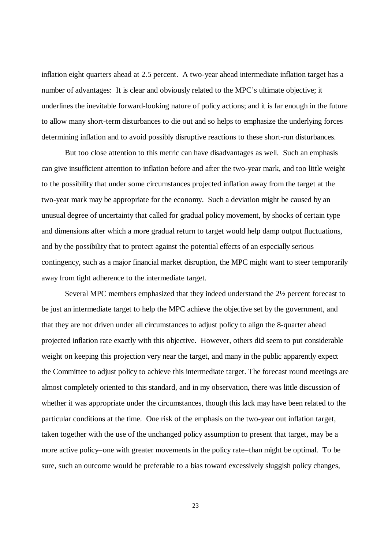inflation eight quarters ahead at 2.5 percent. A two-year ahead intermediate inflation target has a number of advantages: It is clear and obviously related to the MPC's ultimate objective; it underlines the inevitable forward-looking nature of policy actions; and it is far enough in the future to allow many short-term disturbances to die out and so helps to emphasize the underlying forces determining inflation and to avoid possibly disruptive reactions to these short-run disturbances.

But too close attention to this metric can have disadvantages as well. Such an emphasis can give insufficient attention to inflation before and after the two-year mark, and too little weight to the possibility that under some circumstances projected inflation away from the target at the two-year mark may be appropriate for the economy. Such a deviation might be caused by an unusual degree of uncertainty that called for gradual policy movement, by shocks of certain type and dimensions after which a more gradual return to target would help damp output fluctuations, and by the possibility that to protect against the potential effects of an especially serious contingency, such as a major financial market disruption, the MPC might want to steer temporarily away from tight adherence to the intermediate target.

Several MPC members emphasized that they indeed understand the 2½ percent forecast to be just an intermediate target to help the MPC achieve the objective set by the government, and that they are not driven under all circumstances to adjust policy to align the 8-quarter ahead projected inflation rate exactly with this objective. However, others did seem to put considerable weight on keeping this projection very near the target, and many in the public apparently expect the Committee to adjust policy to achieve this intermediate target. The forecast round meetings are almost completely oriented to this standard, and in my observation, there was little discussion of whether it was appropriate under the circumstances, though this lack may have been related to the particular conditions at the time. One risk of the emphasis on the two-year out inflation target, taken together with the use of the unchanged policy assumption to present that target, may be a more active policy–one with greater movements in the policy rate–than might be optimal. To be sure, such an outcome would be preferable to a bias toward excessively sluggish policy changes,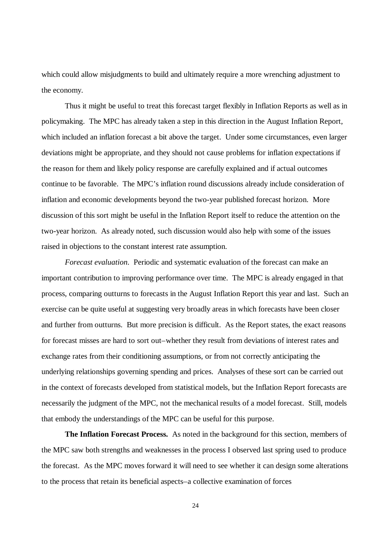which could allow misjudgments to build and ultimately require a more wrenching adjustment to the economy.

Thus it might be useful to treat this forecast target flexibly in Inflation Reports as well as in policymaking. The MPC has already taken a step in this direction in the August Inflation Report, which included an inflation forecast a bit above the target. Under some circumstances, even larger deviations might be appropriate, and they should not cause problems for inflation expectations if the reason for them and likely policy response are carefully explained and if actual outcomes continue to be favorable. The MPC's inflation round discussions already include consideration of inflation and economic developments beyond the two-year published forecast horizon. More discussion of this sort might be useful in the Inflation Report itself to reduce the attention on the two-year horizon. As already noted, such discussion would also help with some of the issues raised in objections to the constant interest rate assumption.

*Forecast evaluation*. Periodic and systematic evaluation of the forecast can make an important contribution to improving performance over time. The MPC is already engaged in that process, comparing outturns to forecasts in the August Inflation Report this year and last. Such an exercise can be quite useful at suggesting very broadly areas in which forecasts have been closer and further from outturns. But more precision is difficult. As the Report states, the exact reasons for forecast misses are hard to sort out–whether they result from deviations of interest rates and exchange rates from their conditioning assumptions, or from not correctly anticipating the underlying relationships governing spending and prices. Analyses of these sort can be carried out in the context of forecasts developed from statistical models, but the Inflation Report forecasts are necessarily the judgment of the MPC, not the mechanical results of a model forecast. Still, models that embody the understandings of the MPC can be useful for this purpose.

**The Inflation Forecast Process.** As noted in the background for this section, members of the MPC saw both strengths and weaknesses in the process I observed last spring used to produce the forecast. As the MPC moves forward it will need to see whether it can design some alterations to the process that retain its beneficial aspects–a collective examination of forces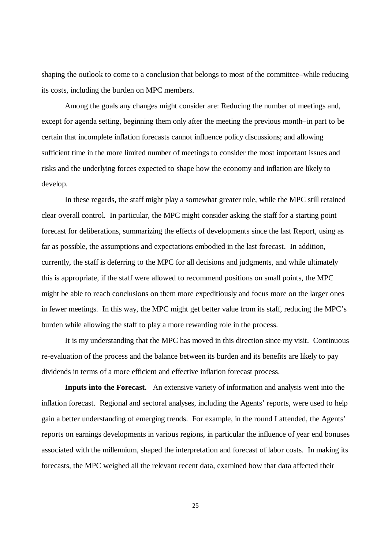shaping the outlook to come to a conclusion that belongs to most of the committee–while reducing its costs, including the burden on MPC members.

Among the goals any changes might consider are: Reducing the number of meetings and, except for agenda setting, beginning them only after the meeting the previous month–in part to be certain that incomplete inflation forecasts cannot influence policy discussions; and allowing sufficient time in the more limited number of meetings to consider the most important issues and risks and the underlying forces expected to shape how the economy and inflation are likely to develop.

In these regards, the staff might play a somewhat greater role, while the MPC still retained clear overall control. In particular, the MPC might consider asking the staff for a starting point forecast for deliberations, summarizing the effects of developments since the last Report, using as far as possible, the assumptions and expectations embodied in the last forecast. In addition, currently, the staff is deferring to the MPC for all decisions and judgments, and while ultimately this is appropriate, if the staff were allowed to recommend positions on small points, the MPC might be able to reach conclusions on them more expeditiously and focus more on the larger ones in fewer meetings. In this way, the MPC might get better value from its staff, reducing the MPC's burden while allowing the staff to play a more rewarding role in the process.

It is my understanding that the MPC has moved in this direction since my visit. Continuous re-evaluation of the process and the balance between its burden and its benefits are likely to pay dividends in terms of a more efficient and effective inflation forecast process.

**Inputs into the Forecast.** An extensive variety of information and analysis went into the inflation forecast. Regional and sectoral analyses, including the Agents' reports, were used to help gain a better understanding of emerging trends. For example, in the round I attended, the Agents' reports on earnings developments in various regions, in particular the influence of year end bonuses associated with the millennium, shaped the interpretation and forecast of labor costs. In making its forecasts, the MPC weighed all the relevant recent data, examined how that data affected their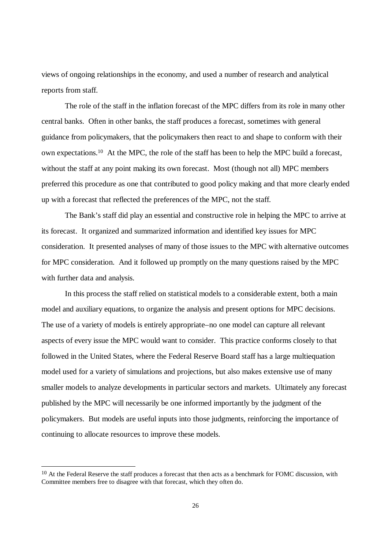views of ongoing relationships in the economy, and used a number of research and analytical reports from staff.

The role of the staff in the inflation forecast of the MPC differs from its role in many other central banks. Often in other banks, the staff produces a forecast, sometimes with general guidance from policymakers, that the policymakers then react to and shape to conform with their own expectations.10 At the MPC, the role of the staff has been to help the MPC build a forecast, without the staff at any point making its own forecast. Most (though not all) MPC members preferred this procedure as one that contributed to good policy making and that more clearly ended up with a forecast that reflected the preferences of the MPC, not the staff.

The Bank's staff did play an essential and constructive role in helping the MPC to arrive at its forecast. It organized and summarized information and identified key issues for MPC consideration. It presented analyses of many of those issues to the MPC with alternative outcomes for MPC consideration. And it followed up promptly on the many questions raised by the MPC with further data and analysis.

In this process the staff relied on statistical models to a considerable extent, both a main model and auxiliary equations, to organize the analysis and present options for MPC decisions. The use of a variety of models is entirely appropriate–no one model can capture all relevant aspects of every issue the MPC would want to consider. This practice conforms closely to that followed in the United States, where the Federal Reserve Board staff has a large multiequation model used for a variety of simulations and projections, but also makes extensive use of many smaller models to analyze developments in particular sectors and markets. Ultimately any forecast published by the MPC will necessarily be one informed importantly by the judgment of the policymakers. But models are useful inputs into those judgments, reinforcing the importance of continuing to allocate resources to improve these models.

<sup>&</sup>lt;sup>10</sup> At the Federal Reserve the staff produces a forecast that then acts as a benchmark for FOMC discussion, with Committee members free to disagree with that forecast, which they often do.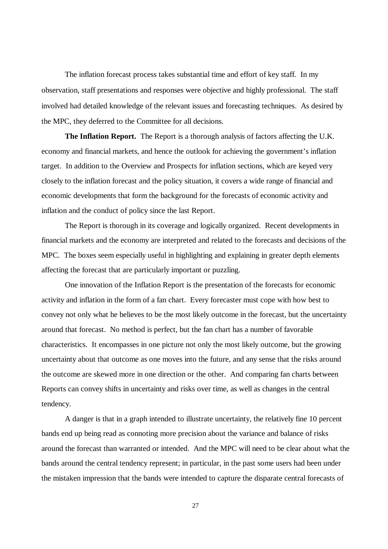The inflation forecast process takes substantial time and effort of key staff. In my observation, staff presentations and responses were objective and highly professional. The staff involved had detailed knowledge of the relevant issues and forecasting techniques. As desired by the MPC, they deferred to the Committee for all decisions.

**The Inflation Report.** The Report is a thorough analysis of factors affecting the U.K. economy and financial markets, and hence the outlook for achieving the government's inflation target. In addition to the Overview and Prospects for inflation sections, which are keyed very closely to the inflation forecast and the policy situation, it covers a wide range of financial and economic developments that form the background for the forecasts of economic activity and inflation and the conduct of policy since the last Report.

The Report is thorough in its coverage and logically organized. Recent developments in financial markets and the economy are interpreted and related to the forecasts and decisions of the MPC. The boxes seem especially useful in highlighting and explaining in greater depth elements affecting the forecast that are particularly important or puzzling.

One innovation of the Inflation Report is the presentation of the forecasts for economic activity and inflation in the form of a fan chart. Every forecaster must cope with how best to convey not only what he believes to be the most likely outcome in the forecast, but the uncertainty around that forecast. No method is perfect, but the fan chart has a number of favorable characteristics. It encompasses in one picture not only the most likely outcome, but the growing uncertainty about that outcome as one moves into the future, and any sense that the risks around the outcome are skewed more in one direction or the other. And comparing fan charts between Reports can convey shifts in uncertainty and risks over time, as well as changes in the central tendency.

A danger is that in a graph intended to illustrate uncertainty, the relatively fine 10 percent bands end up being read as connoting more precision about the variance and balance of risks around the forecast than warranted or intended. And the MPC will need to be clear about what the bands around the central tendency represent; in particular, in the past some users had been under the mistaken impression that the bands were intended to capture the disparate central forecasts of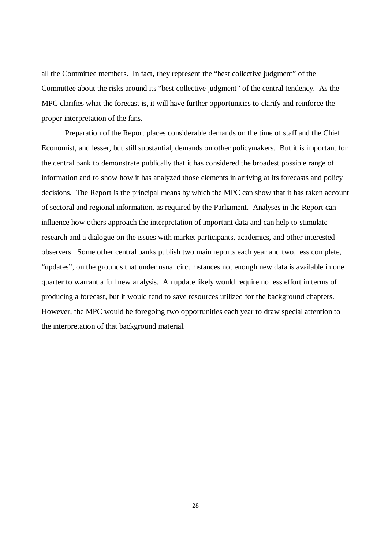all the Committee members. In fact, they represent the "best collective judgment" of the Committee about the risks around its "best collective judgment" of the central tendency. As the MPC clarifies what the forecast is, it will have further opportunities to clarify and reinforce the proper interpretation of the fans.

Preparation of the Report places considerable demands on the time of staff and the Chief Economist, and lesser, but still substantial, demands on other policymakers. But it is important for the central bank to demonstrate publically that it has considered the broadest possible range of information and to show how it has analyzed those elements in arriving at its forecasts and policy decisions. The Report is the principal means by which the MPC can show that it has taken account of sectoral and regional information, as required by the Parliament. Analyses in the Report can influence how others approach the interpretation of important data and can help to stimulate research and a dialogue on the issues with market participants, academics, and other interested observers. Some other central banks publish two main reports each year and two, less complete, "updates", on the grounds that under usual circumstances not enough new data is available in one quarter to warrant a full new analysis. An update likely would require no less effort in terms of producing a forecast, but it would tend to save resources utilized for the background chapters. However, the MPC would be foregoing two opportunities each year to draw special attention to the interpretation of that background material.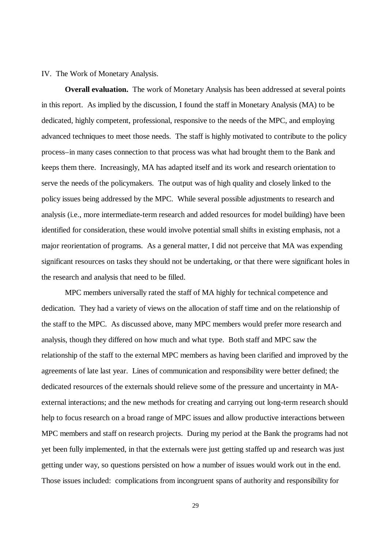### IV. The Work of Monetary Analysis.

**Overall evaluation.** The work of Monetary Analysis has been addressed at several points in this report. As implied by the discussion, I found the staff in Monetary Analysis (MA) to be dedicated, highly competent, professional, responsive to the needs of the MPC, and employing advanced techniques to meet those needs. The staff is highly motivated to contribute to the policy process–in many cases connection to that process was what had brought them to the Bank and keeps them there. Increasingly, MA has adapted itself and its work and research orientation to serve the needs of the policymakers. The output was of high quality and closely linked to the policy issues being addressed by the MPC. While several possible adjustments to research and analysis (i.e., more intermediate-term research and added resources for model building) have been identified for consideration, these would involve potential small shifts in existing emphasis, not a major reorientation of programs. As a general matter, I did not perceive that MA was expending significant resources on tasks they should not be undertaking, or that there were significant holes in the research and analysis that need to be filled.

MPC members universally rated the staff of MA highly for technical competence and dedication. They had a variety of views on the allocation of staff time and on the relationship of the staff to the MPC. As discussed above, many MPC members would prefer more research and analysis, though they differed on how much and what type. Both staff and MPC saw the relationship of the staff to the external MPC members as having been clarified and improved by the agreements of late last year. Lines of communication and responsibility were better defined; the dedicated resources of the externals should relieve some of the pressure and uncertainty in MAexternal interactions; and the new methods for creating and carrying out long-term research should help to focus research on a broad range of MPC issues and allow productive interactions between MPC members and staff on research projects. During my period at the Bank the programs had not yet been fully implemented, in that the externals were just getting staffed up and research was just getting under way, so questions persisted on how a number of issues would work out in the end. Those issues included: complications from incongruent spans of authority and responsibility for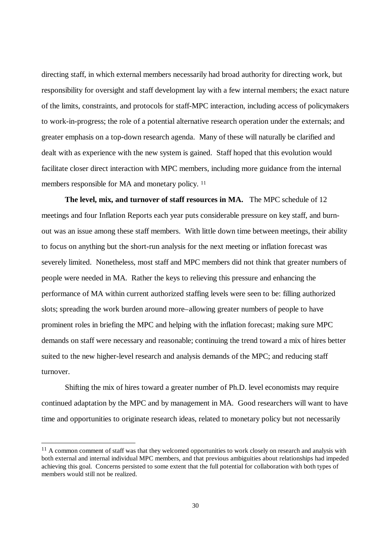directing staff, in which external members necessarily had broad authority for directing work, but responsibility for oversight and staff development lay with a few internal members; the exact nature of the limits, constraints, and protocols for staff-MPC interaction, including access of policymakers to work-in-progress; the role of a potential alternative research operation under the externals; and greater emphasis on a top-down research agenda. Many of these will naturally be clarified and dealt with as experience with the new system is gained. Staff hoped that this evolution would facilitate closer direct interaction with MPC members, including more guidance from the internal members responsible for MA and monetary policy. <sup>11</sup>

**The level, mix, and turnover of staff resources in MA.** The MPC schedule of 12 meetings and four Inflation Reports each year puts considerable pressure on key staff, and burnout was an issue among these staff members. With little down time between meetings, their ability to focus on anything but the short-run analysis for the next meeting or inflation forecast was severely limited. Nonetheless, most staff and MPC members did not think that greater numbers of people were needed in MA. Rather the keys to relieving this pressure and enhancing the performance of MA within current authorized staffing levels were seen to be: filling authorized slots; spreading the work burden around more–allowing greater numbers of people to have prominent roles in briefing the MPC and helping with the inflation forecast; making sure MPC demands on staff were necessary and reasonable; continuing the trend toward a mix of hires better suited to the new higher-level research and analysis demands of the MPC; and reducing staff turnover.

Shifting the mix of hires toward a greater number of Ph.D. level economists may require continued adaptation by the MPC and by management in MA. Good researchers will want to have time and opportunities to originate research ideas, related to monetary policy but not necessarily

 $11$  A common comment of staff was that they welcomed opportunities to work closely on research and analysis with both external and internal individual MPC members, and that previous ambiguities about relationships had impeded achieving this goal. Concerns persisted to some extent that the full potential for collaboration with both types of members would still not be realized.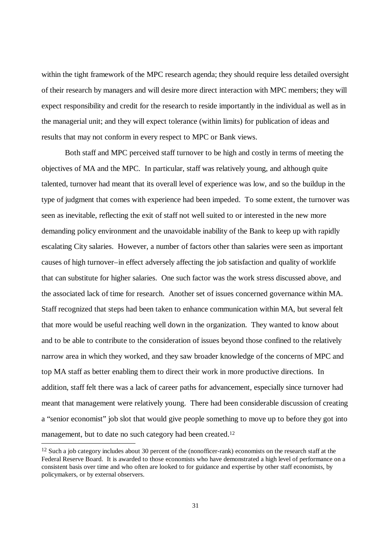within the tight framework of the MPC research agenda; they should require less detailed oversight of their research by managers and will desire more direct interaction with MPC members; they will expect responsibility and credit for the research to reside importantly in the individual as well as in the managerial unit; and they will expect tolerance (within limits) for publication of ideas and results that may not conform in every respect to MPC or Bank views.

Both staff and MPC perceived staff turnover to be high and costly in terms of meeting the objectives of MA and the MPC. In particular, staff was relatively young, and although quite talented, turnover had meant that its overall level of experience was low, and so the buildup in the type of judgment that comes with experience had been impeded. To some extent, the turnover was seen as inevitable, reflecting the exit of staff not well suited to or interested in the new more demanding policy environment and the unavoidable inability of the Bank to keep up with rapidly escalating City salaries. However, a number of factors other than salaries were seen as important causes of high turnover–in effect adversely affecting the job satisfaction and quality of worklife that can substitute for higher salaries. One such factor was the work stress discussed above, and the associated lack of time for research. Another set of issues concerned governance within MA. Staff recognized that steps had been taken to enhance communication within MA, but several felt that more would be useful reaching well down in the organization. They wanted to know about and to be able to contribute to the consideration of issues beyond those confined to the relatively narrow area in which they worked, and they saw broader knowledge of the concerns of MPC and top MA staff as better enabling them to direct their work in more productive directions. In addition, staff felt there was a lack of career paths for advancement, especially since turnover had meant that management were relatively young. There had been considerable discussion of creating a "senior economist" job slot that would give people something to move up to before they got into management, but to date no such category had been created.<sup>12</sup>

<sup>&</sup>lt;sup>12</sup> Such a job category includes about 30 percent of the (nonofficer-rank) economists on the research staff at the Federal Reserve Board. It is awarded to those economists who have demonstrated a high level of performance on a consistent basis over time and who often are looked to for guidance and expertise by other staff economists, by policymakers, or by external observers.